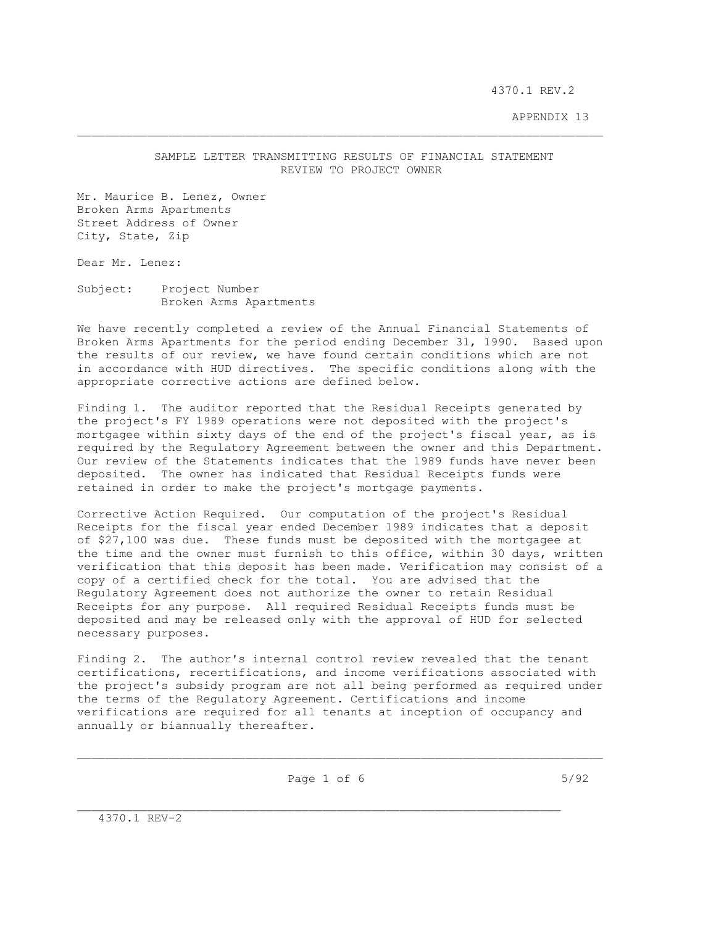4370.1 REV.2

## APPENDIX 13

## SAMPLE LETTER TRANSMITTING RESULTS OF FINANCIAL STATEMENT REVIEW TO PROJECT OWNER

Mr. Maurice B. Lenez, Owner Broken Arms Apartments Street Address of Owner City, State, Zip

Dear Mr. Lenez:

Subject: Project Number Broken Arms Apartments

We have recently completed a review of the Annual Financial Statements of Broken Arms Apartments for the period ending December 31, 1990. Based upon the results of our review, we have found certain conditions which are not in accordance with HUD directives. The specific conditions along with the appropriate corrective actions are defined below.

Finding 1. The auditor reported that the Residual Receipts generated by the project's FY 1989 operations were not deposited with the project's mortgagee within sixty days of the end of the project's fiscal year, as is required by the Regulatory Agreement between the owner and this Department. Our review of the Statements indicates that the 1989 funds have never been deposited. The owner has indicated that Residual Receipts funds were retained in order to make the project's mortgage payments.

Corrective Action Required. Our computation of the project's Residual Receipts for the fiscal year ended December 1989 indicates that a deposit of \$27,100 was due. These funds must be deposited with the mortgagee at the time and the owner must furnish to this office, within 30 days, written verification that this deposit has been made. Verification may consist of a copy of a certified check for the total. You are advised that the Regulatory Agreement does not authorize the owner to retain Residual Receipts for any purpose. All required Residual Receipts funds must be deposited and may be released only with the approval of HUD for selected necessary purposes.

Finding 2. The author's internal control review revealed that the tenant certifications, recertifications, and income verifications associated with the project's subsidy program are not all being performed as required under the terms of the Regulatory Agreement. Certifications and income verifications are required for all tenants at inception of occupancy and annually or biannually thereafter.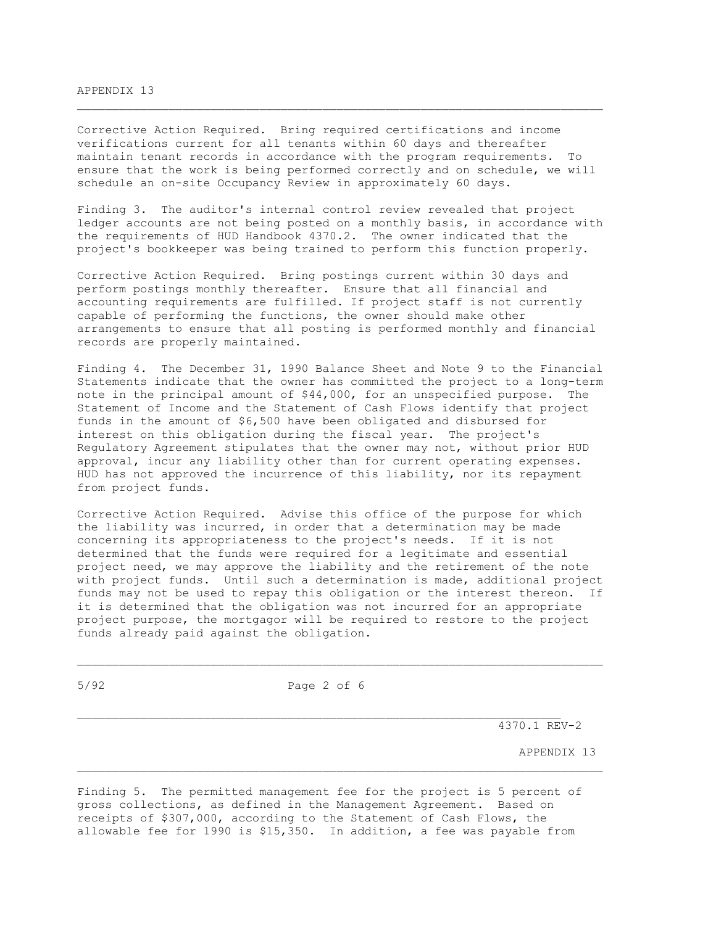## APPENDIX 13

Corrective Action Required. Bring required certifications and income verifications current for all tenants within 60 days and thereafter maintain tenant records in accordance with the program requirements. To ensure that the work is being performed correctly and on schedule, we will schedule an on-site Occupancy Review in approximately 60 days.

\_\_\_\_\_\_\_\_\_\_\_\_\_\_\_\_\_\_\_\_\_\_\_\_\_\_\_\_\_\_\_\_\_\_\_\_\_\_\_\_\_\_\_\_\_\_\_\_\_\_\_\_\_\_\_\_\_\_\_\_\_\_\_\_\_\_\_\_\_\_\_\_\_\_\_

Finding 3. The auditor's internal control review revealed that project ledger accounts are not being posted on a monthly basis, in accordance with the requirements of HUD Handbook 4370.2. The owner indicated that the project's bookkeeper was being trained to perform this function properly.

Corrective Action Required. Bring postings current within 30 days and perform postings monthly thereafter. Ensure that all financial and accounting requirements are fulfilled. If project staff is not currently capable of performing the functions, the owner should make other arrangements to ensure that all posting is performed monthly and financial records are properly maintained.

Finding 4. The December 31, 1990 Balance Sheet and Note 9 to the Financial Statements indicate that the owner has committed the project to a long-term note in the principal amount of \$44,000, for an unspecified purpose. The Statement of Income and the Statement of Cash Flows identify that project funds in the amount of \$6,500 have been obligated and disbursed for interest on this obligation during the fiscal year. The project's Regulatory Agreement stipulates that the owner may not, without prior HUD approval, incur any liability other than for current operating expenses. HUD has not approved the incurrence of this liability, nor its repayment from project funds.

Corrective Action Required. Advise this office of the purpose for which the liability was incurred, in order that a determination may be made concerning its appropriateness to the project's needs. If it is not determined that the funds were required for a legitimate and essential project need, we may approve the liability and the retirement of the note with project funds. Until such a determination is made, additional project funds may not be used to repay this obligation or the interest thereon. If it is determined that the obligation was not incurred for an appropriate project purpose, the mortgagor will be required to restore to the project funds already paid against the obligation.

5/92 Page 2 of 6

 $\mathcal{L}_\text{max}$ 

4370.1 REV-2

APPENDIX 13

Finding 5. The permitted management fee for the project is 5 percent of gross collections, as defined in the Management Agreement. Based on receipts of \$307,000, according to the Statement of Cash Flows, the allowable fee for 1990 is \$15,350. In addition, a fee was payable from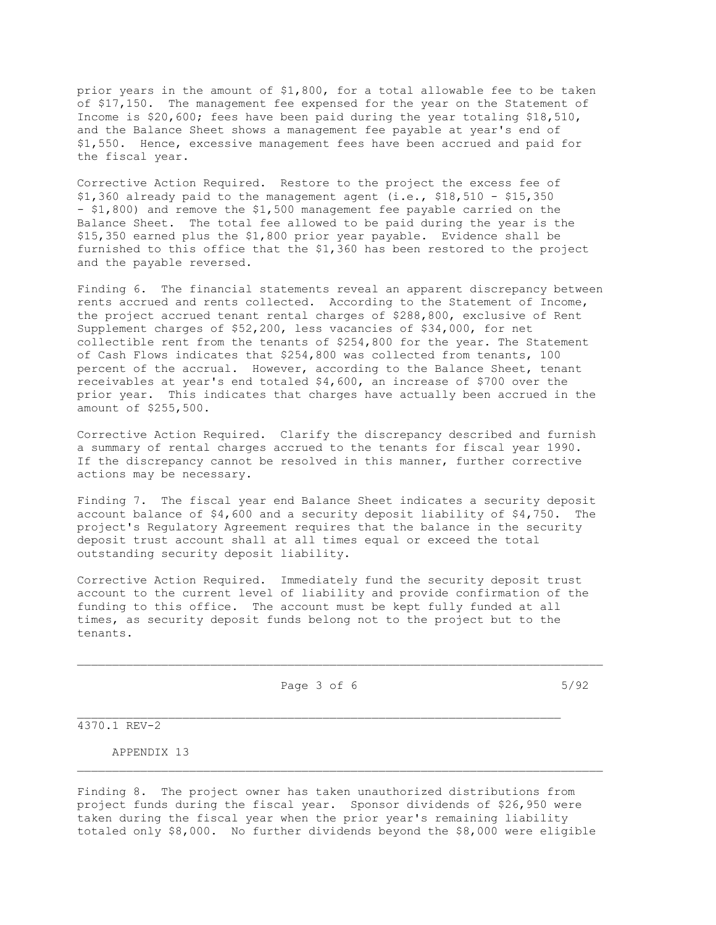prior years in the amount of \$1,800, for a total allowable fee to be taken of \$17,150. The management fee expensed for the year on the Statement of Income is \$20,600; fees have been paid during the year totaling \$18,510, and the Balance Sheet shows a management fee payable at year's end of \$1,550. Hence, excessive management fees have been accrued and paid for the fiscal year.

Corrective Action Required. Restore to the project the excess fee of \$1,360 already paid to the management agent (i.e., \$18,510 - \$15,350 - \$1,800) and remove the \$1,500 management fee payable carried on the Balance Sheet. The total fee allowed to be paid during the year is the \$15,350 earned plus the \$1,800 prior year payable. Evidence shall be furnished to this office that the \$1,360 has been restored to the project and the payable reversed.

Finding 6. The financial statements reveal an apparent discrepancy between rents accrued and rents collected. According to the Statement of Income, the project accrued tenant rental charges of \$288,800, exclusive of Rent Supplement charges of \$52,200, less vacancies of \$34,000, for net collectible rent from the tenants of \$254,800 for the year. The Statement of Cash Flows indicates that \$254,800 was collected from tenants, 100 percent of the accrual. However, according to the Balance Sheet, tenant receivables at year's end totaled \$4,600, an increase of \$700 over the prior year. This indicates that charges have actually been accrued in the amount of \$255,500.

Corrective Action Required. Clarify the discrepancy described and furnish a summary of rental charges accrued to the tenants for fiscal year 1990. If the discrepancy cannot be resolved in this manner, further corrective actions may be necessary.

Finding 7. The fiscal year end Balance Sheet indicates a security deposit account balance of \$4,600 and a security deposit liability of \$4,750. The project's Regulatory Agreement requires that the balance in the security deposit trust account shall at all times equal or exceed the total outstanding security deposit liability.

Corrective Action Required. Immediately fund the security deposit trust account to the current level of liability and provide confirmation of the funding to this office. The account must be kept fully funded at all times, as security deposit funds belong not to the project but to the tenants.

Page 3 of 6 5/92

 $\mathcal{L}_\text{max}$ 

4370.1 REV-2

APPENDIX 13

Finding 8. The project owner has taken unauthorized distributions from project funds during the fiscal year. Sponsor dividends of \$26,950 were taken during the fiscal year when the prior year's remaining liability totaled only \$8,000. No further dividends beyond the \$8,000 were eligible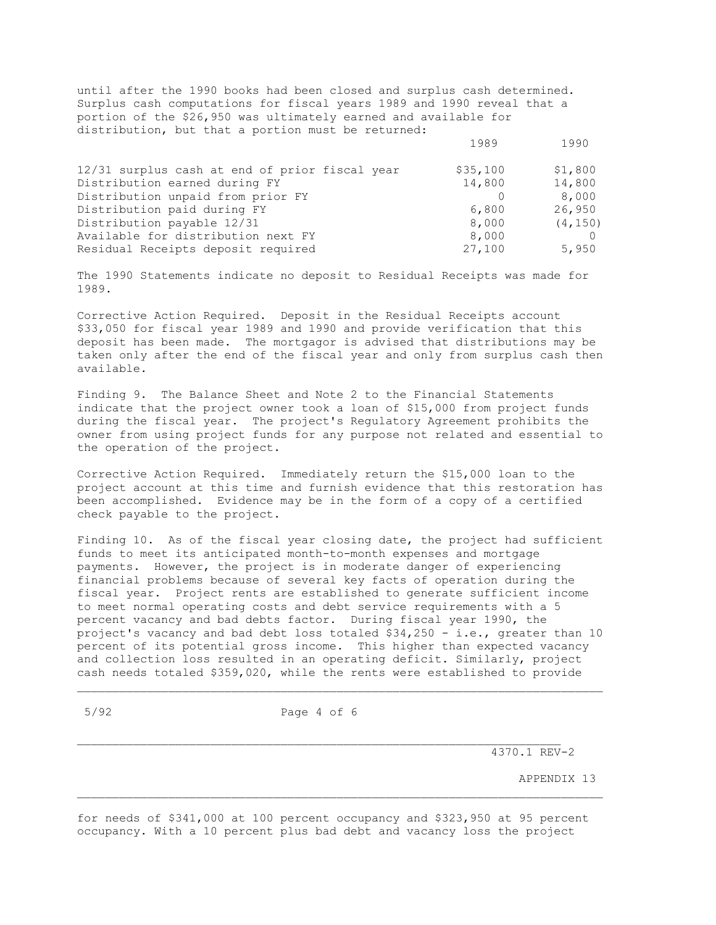until after the 1990 books had been closed and surplus cash determined. Surplus cash computations for fiscal years 1989 and 1990 reveal that a portion of the \$26,950 was ultimately earned and available for distribution, but that a portion must be returned:

| 12/31 surplus cash at end of prior fiscal year | \$35,100 | \$1,800  |
|------------------------------------------------|----------|----------|
| Distribution earned during FY                  | 14,800   | 14,800   |
| Distribution unpaid from prior FY              |          | 8,000    |
| Distribution paid during FY                    | 6,800    | 26,950   |
| Distribution payable 12/31                     | 8,000    | (4, 150) |
| Available for distribution next FY             | 8,000    |          |
| Residual Receipts deposit required             | 27,100   | 5,950    |

1989 1990

The 1990 Statements indicate no deposit to Residual Receipts was made for 1989.

Corrective Action Required. Deposit in the Residual Receipts account \$33,050 for fiscal year 1989 and 1990 and provide verification that this deposit has been made. The mortgagor is advised that distributions may be taken only after the end of the fiscal year and only from surplus cash then available.

Finding 9. The Balance Sheet and Note 2 to the Financial Statements indicate that the project owner took a loan of \$15,000 from project funds during the fiscal year. The project's Regulatory Agreement prohibits the owner from using project funds for any purpose not related and essential to the operation of the project.

Corrective Action Required. Immediately return the \$15,000 loan to the project account at this time and furnish evidence that this restoration has been accomplished. Evidence may be in the form of a copy of a certified check payable to the project.

Finding 10. As of the fiscal year closing date, the project had sufficient funds to meet its anticipated month-to-month expenses and mortgage payments. However, the project is in moderate danger of experiencing financial problems because of several key facts of operation during the fiscal year. Project rents are established to generate sufficient income to meet normal operating costs and debt service requirements with a 5 percent vacancy and bad debts factor. During fiscal year 1990, the project's vacancy and bad debt loss totaled \$34,250 - i.e., greater than 10 percent of its potential gross income. This higher than expected vacancy and collection loss resulted in an operating deficit. Similarly, project cash needs totaled \$359,020, while the rents were established to provide

\_\_\_\_\_\_\_\_\_\_\_\_\_\_\_\_\_\_\_\_\_\_\_\_\_\_\_\_\_\_\_\_\_\_\_\_\_\_\_\_\_\_\_\_\_\_\_\_\_\_\_\_\_\_\_\_\_\_\_\_\_\_\_\_\_\_\_\_\_\_\_\_\_\_\_

5/92 Page 4 of 6

 $\mathcal{L}_\text{max}$ 

4370.1 REV-2

APPENDIX 13

for needs of \$341,000 at 100 percent occupancy and \$323,950 at 95 percent occupancy. With a 10 percent plus bad debt and vacancy loss the project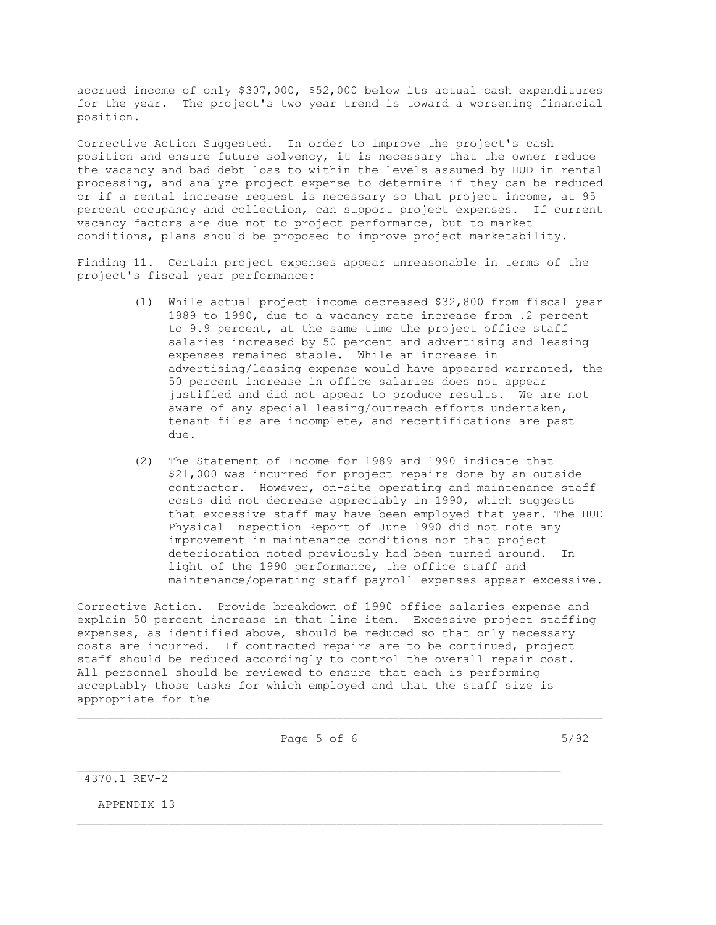accrued income of only \$307,000, \$52,000 below its actual cash expenditures for the year. The project's two year trend is toward a worsening financial position.

Corrective Action Suggested. In order to improve the project's cash position and ensure future solvency, it is necessary that the owner reduce the vacancy and bad debt loss to within the levels assumed by HUD in rental processing, and analyze project expense to determine if they can be reduced or if a rental increase request is necessary so that project income, at 95 percent occupancy and collection, can support project expenses. If current vacancy factors are due not to project performance, but to market conditions, plans should be proposed to improve project marketability.

Finding 11. Certain project expenses appear unreasonable in terms of the project's fiscal year performance:

- (1) While actual project income decreased \$32,800 from fiscal year 1989 to 1990, due to a vacancy rate increase from .2 percent to 9.9 percent, at the same time the project office staff salaries increased by 50 percent and advertising and leasing expenses remained stable. While an increase in advertising/leasing expense would have appeared warranted, the 50 percent increase in office salaries does not appear justified and did not appear to produce results. We are not aware of any special leasing/outreach efforts undertaken, tenant files are incomplete, and recertifications are past due.
- (2) The Statement of Income for 1989 and 1990 indicate that \$21,000 was incurred for project repairs done by an outside contractor. However, on-site operating and maintenance staff costs did not decrease appreciably in 1990, which suggests that excessive staff may have been employed that year. The HUD Physical Inspection Report of June 1990 did not note any improvement in maintenance conditions nor that project deterioration noted previously had been turned around. In light of the 1990 performance, the office staff and maintenance/operating staff payroll expenses appear excessive.

Corrective Action. Provide breakdown of 1990 office salaries expense and explain 50 percent increase in that line item. Excessive project staffing expenses, as identified above, should be reduced so that only necessary costs are incurred. If contracted repairs are to be continued, project staff should be reduced accordingly to control the overall repair cost. All personnel should be reviewed to ensure that each is performing acceptably those tasks for which employed and that the staff size is appropriate for the

 $\mathcal{L}_\text{max}$ 

\_\_\_\_\_\_\_\_\_\_\_\_\_\_\_\_\_\_\_\_\_\_\_\_\_\_\_\_\_\_\_\_\_\_\_\_\_\_\_\_\_\_\_\_\_\_\_\_\_\_\_\_\_\_\_\_\_\_\_\_\_\_\_\_\_\_\_\_\_\_\_\_\_\_\_

Page 5 of 6 5/92

4370.1 REV-2

APPENDIX 13